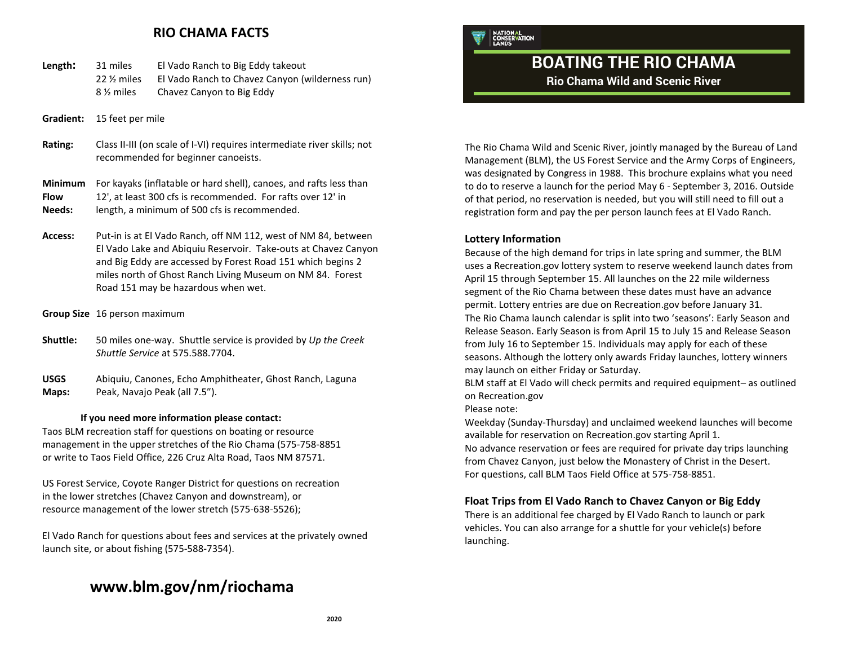### **RIO CHAMA FACTS**

| Length: | 31 miles   | El Vado Ranch to Big Eddy takeout               |
|---------|------------|-------------------------------------------------|
|         | 22 % miles | El Vado Ranch to Chavez Canyon (wilderness run) |
|         | 8 ½ miles  | Chavez Canyon to Big Eddy                       |

- **Gradient:** 15 feet per mile
- **Rating:** Class II-III (on scale of I-VI) requires intermediate river skills; not recommended for beginner canoeists.

## **Minimum** For kayaks (inflatable or hard shell), canoes, and rafts less than

**Flow** 12', at least 300 cfs is recommended. For rafts over 12' in

- **Needs:** length, a minimum of 500 cfs is recommended.
- **Access:** Put-in is at El Vado Ranch, off NM 112, west of NM 84, between El Vado Lake and Abiquiu Reservoir. Take-outs at Chavez Canyon and Big Eddy are accessed by Forest Road 151 which begins 2 miles north of Ghost Ranch Living Museum on NM 84. Forest Road 151 may be hazardous when wet.
- **Group Size** 16 person maximum
- **Shuttle:** 50 miles one-way. Shuttle service is provided by *Up the Creek Shuttle Service* at 575.588.7704.

**USGS** Abiquiu, Canones, Echo Amphitheater, Ghost Ranch, Laguna **Maps:** Peak, Navajo Peak (all 7.5").

#### **If you need more information please contact:**

Taos BLM recreation staff for questions on boating or resource management in the upper stretches of the Rio Chama (575-758-8851 or write to Taos Field Office, 226 Cruz Alta Road, Taos NM 87571.

US Forest Service, Coyote Ranger District for questions on recreation in the lower stretches (Chavez Canyon and downstream), or resource management of the lower stretch (575-638-5526);

El Vado Ranch for questions about fees and services at the privately owned launch site, or about fishing (575-588-7354).

## **www.blm.gov/nm/riochama**

NATIONAL<br>CONSERVATION

# **BOATING THE RIO CHAMA**

**Rio Chama Wild and Scenic River**

The Rio Chama Wild and Scenic River, jointly managed by the Bureau of Land Management (BLM), the US Forest Service and the Army Corps of Engineers, was designated by Congress in 1988. This brochure explains what you need to do to reserve a launch for the period May 6 - September 3, 2016. Outside of that period, no reservation is needed, but you will still need to fill out a registration form and pay the per person launch fees at El Vado Ranch.

#### **Lottery Information**

Because of the high demand for trips in late spring and summer, the BLM uses a Recreation.gov lottery system to reserve weekend launch dates from April 15 through September 15. All launches on the 22 mile wilderness segment of the Rio Chama between these dates must have an advance permit. Lottery entries are due on Recreation.gov before January 31. The Rio Chama launch calendar is split into two 'seasons': Early Season and Release Season. Early Season is from April 15 to July 15 and Release Season from July 16 to September 15. Individuals may apply for each of these seasons. Although the lottery only awards Friday launches, lottery winners may launch on either Friday or Saturday.

BLM staff at El Vado will check permits and required equipment– as outlined on Recreation.gov

#### Please note:

Weekday (Sunday-Thursday) and unclaimed weekend launches will become available for reservation on Recreation.gov starting April 1.

No advance reservation or fees are required for private day trips launching from Chavez Canyon, just below the Monastery of Christ in the Desert. For questions, call BLM Taos Field Office at 575-758-8851.

#### **Float Trips from El Vado Ranch to Chavez Canyon or Big Eddy**

There is an additional fee charged by El Vado Ranch to launch or park vehicles. You can also arrange for a shuttle for your vehicle(s) before launching.